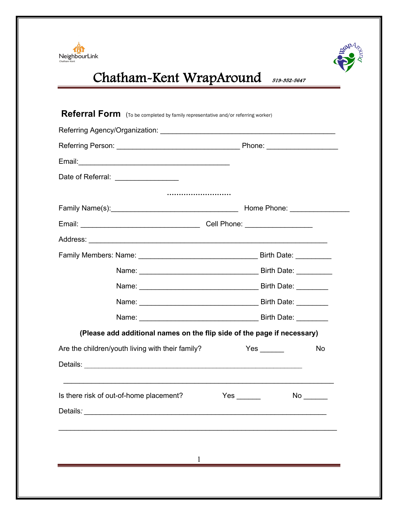



# NeighbourLink<br>
Chatham-Kent WrapAround 519-352-5647

| Date of Referral: ________________               |                                                                         |            |      |  |
|--------------------------------------------------|-------------------------------------------------------------------------|------------|------|--|
|                                                  |                                                                         |            |      |  |
|                                                  |                                                                         |            |      |  |
|                                                  |                                                                         |            |      |  |
|                                                  |                                                                         |            |      |  |
|                                                  |                                                                         |            |      |  |
|                                                  |                                                                         |            |      |  |
|                                                  |                                                                         |            |      |  |
|                                                  |                                                                         |            |      |  |
|                                                  |                                                                         |            |      |  |
|                                                  | (Please add additional names on the flip side of the page if necessary) |            |      |  |
| Are the children/youth living with their family? |                                                                         |            | No   |  |
|                                                  |                                                                         |            |      |  |
|                                                  | <u> 1989 - Johann Stoff, amerikansk politiker (d. 1989)</u>             |            |      |  |
| Is there risk of out-of-home placement?          |                                                                         | $Yes \_\_$ | No l |  |
|                                                  |                                                                         |            |      |  |
|                                                  |                                                                         |            |      |  |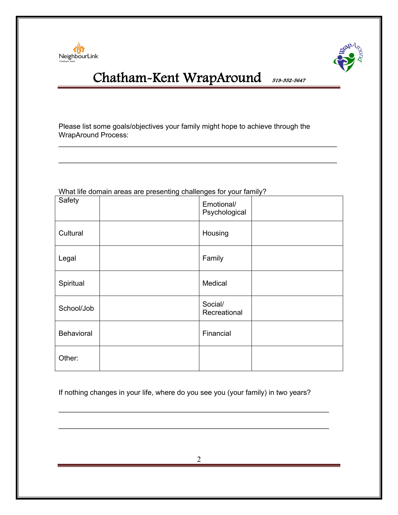



Please list some goals/objectives your family might hope to achieve through the WrapAround Process:

 $\_$ 

| <u>VITALING QUITIANT ALGAS ALG PIGSCHUNG CHANGHYGS TOL YOUL TAITING</u> |  |                             |  |  |  |
|-------------------------------------------------------------------------|--|-----------------------------|--|--|--|
| Safety                                                                  |  | Emotional/<br>Psychological |  |  |  |
| Cultural                                                                |  | Housing                     |  |  |  |
| Legal                                                                   |  | Family                      |  |  |  |
| Spiritual                                                               |  | Medical                     |  |  |  |
| School/Job                                                              |  | Social/<br>Recreational     |  |  |  |
| Behavioral                                                              |  | Financial                   |  |  |  |
| Other:                                                                  |  |                             |  |  |  |

What life domain areas are presenting challenges for your family?

If nothing changes in your life, where do you see you (your family) in two years?

\_\_\_\_\_\_\_\_\_\_\_\_\_\_\_\_\_\_\_\_\_\_\_\_\_\_\_\_\_\_\_\_\_\_\_\_\_\_\_\_\_\_\_\_\_\_\_\_\_\_\_\_\_\_\_\_\_\_\_\_\_\_\_\_\_\_\_\_

 $\_$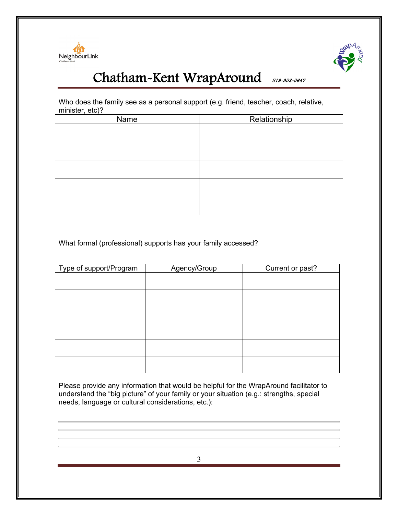



Who does the family see as a personal support (e.g. friend, teacher, coach, relative, minister, etc)?

| Name | Relationship |
|------|--------------|
|      |              |
|      |              |
|      |              |
|      |              |
|      |              |
|      |              |
|      |              |
|      |              |
|      |              |
|      |              |

What formal (professional) supports has your family accessed?

| Type of support/Program | Agency/Group | Current or past? |
|-------------------------|--------------|------------------|
|                         |              |                  |
|                         |              |                  |
|                         |              |                  |
|                         |              |                  |
|                         |              |                  |
|                         |              |                  |
|                         |              |                  |
|                         |              |                  |

Please provide any information that would be helpful for the WrapAround facilitator to understand the "big picture" of your family or your situation (e.g.: strengths, special needs, language or cultural considerations, etc.):

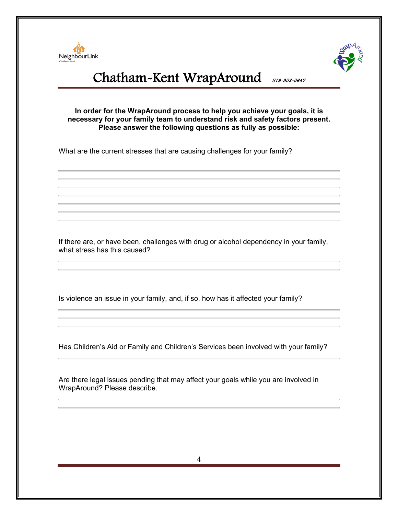



#### **In order for the WrapAround process to help you achieve your goals, it is necessary for your family team to understand risk and safety factors present. Please answer the following questions as fully as possible:**

What are the current stresses that are causing challenges for your family?

If there are, or have been, challenges with drug or alcohol dependency in your family, what stress has this caused?

Is violence an issue in your family, and, if so, how has it affected your family?

Has Children's Aid or Family and Children's Services been involved with your family?

Are there legal issues pending that may affect your goals while you are involved in WrapAround? Please describe.